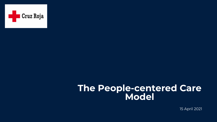

**19 April 2021** 15 April 2021

# **The People-centered Care Model**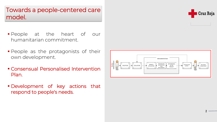### Towards a people-centered care model.

- People at the heart of our humanitarian commitment.
- **People as the protagonists of their** own development.
- Consensual Personalised Intervention Plan.
- Development of key actions that respond to people's needs.



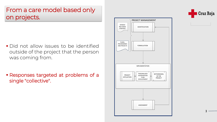3

### From a care model based only on projects.

- **Did not allow issues to be identified** outside of the project that the person was coming from.
- Responses targeted at problems of a single "collective".



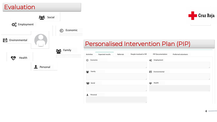4

| Evaluation           |          |                |                                                                               |
|----------------------|----------|----------------|-------------------------------------------------------------------------------|
| <b>DE</b> Employment | Social   | Economic<br>(€ |                                                                               |
| Environmental        |          | Family         | <b>Personalised Inte</b>                                                      |
| Health               |          |                | People<br><b>Expected results</b><br>Referrals<br>Activities<br>€<br>Economic |
|                      | Personal |                | ಕಿಂಕಿ<br>Family                                                               |
|                      |          |                | <b>ALL</b> Social                                                             |
|                      |          |                | Personal                                                                      |



## rvention Plan (PIP)

|    | Activities    | <b>Expected results</b> | Referrals | People involved in PIP |                            | <b>PIP Documentation</b> | Preferred volunteers |                             |
|----|---------------|-------------------------|-----------|------------------------|----------------------------|--------------------------|----------------------|-----------------------------|
| ⊜  | Economic      |                         |           |                        | $\mathbf{Q}_\alpha^\alpha$ | Employment               |                      |                             |
| ဆု | Family        |                         |           | //                     | h                          | Environmental            |                      | //                          |
|    | <b>Social</b> |                         |           | //                     | $\mathbf{v}$               | Health                   |                      | //                          |
|    |               |                         |           | //                     |                            |                          |                      | $\mathcal{E} \mathcal{L}$ . |
| ᅩ  | Personal      |                         |           |                        |                            |                          |                      |                             |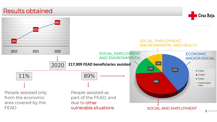#### Results obtained



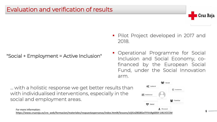6

#### Evaluation and verification of results

#### ▪ Pilot Project developed in 2017 and



2018.

▪ Operational Programme for Social Inclusion and Social Economy, cofinanced by the European Social Fund, under the Social Innovation arm. "Social + Employment = Active Inclusion"

For more information: **[https://www.cruzroja.es/cre\\_web/formacion/materiales/respuestaspersonas/index.html#/lessons/oijIUsZ8G8GeI7VVcRg60SH-U4LVCCCM](https://www.cruzroja.es/cre_web/formacion/materiales/respuestaspersonas/index.html#/lessons/oijIUsZ8G8GeI7VVcRg60SH-U4LVCCCM)**



... with a holistic response we get better results than with individualised interventions, especially in the social and employment areas.